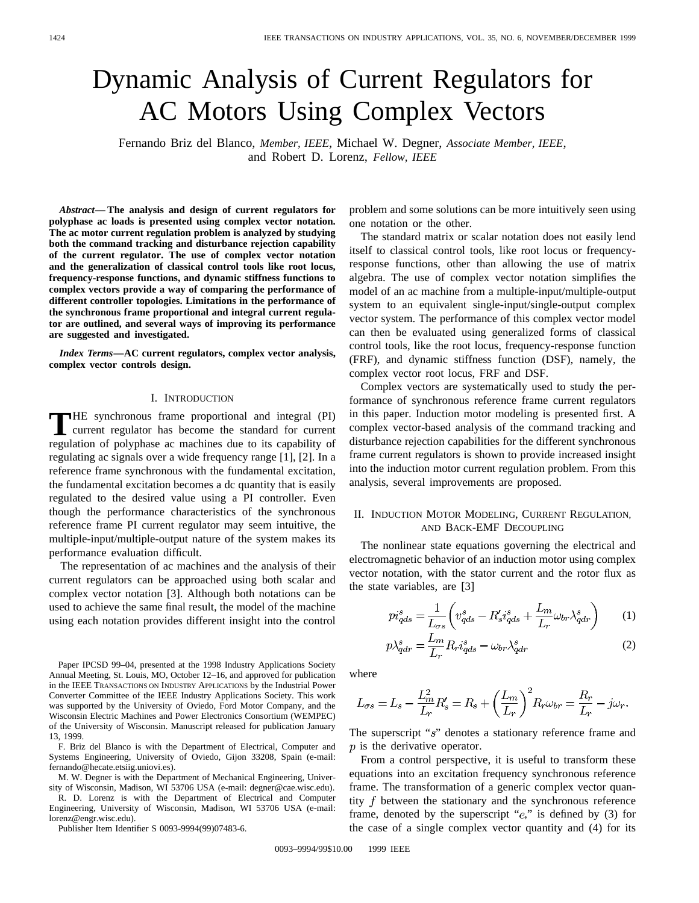# Dynamic Analysis of Current Regulators for AC Motors Using Complex Vectors

Fernando Briz del Blanco, *Member, IEEE*, Michael W. Degner, *Associate Member, IEEE*, and Robert D. Lorenz, *Fellow, IEEE*

*Abstract—* **The analysis and design of current regulators for polyphase ac loads is presented using complex vector notation. The ac motor current regulation problem is analyzed by studying both the command tracking and disturbance rejection capability of the current regulator. The use of complex vector notation and the generalization of classical control tools like root locus, frequency-response functions, and dynamic stiffness functions to complex vectors provide a way of comparing the performance of different controller topologies. Limitations in the performance of the synchronous frame proportional and integral current regulator are outlined, and several ways of improving its performance are suggested and investigated.**

*Index Terms—***AC current regulators, complex vector analysis, complex vector controls design.**

#### I. INTRODUCTION

THE synchronous frame proportional and integral (PI) current regulator has become the standard for current regulation of polyphase ac machines due to its capability of regulating ac signals over a wide frequency range [1], [2]. In a reference frame synchronous with the fundamental excitation, the fundamental excitation becomes a dc quantity that is easily regulated to the desired value using a PI controller. Even though the performance characteristics of the synchronous reference frame PI current regulator may seem intuitive, the multiple-input/multiple-output nature of the system makes its performance evaluation difficult.

The representation of ac machines and the analysis of their current regulators can be approached using both scalar and complex vector notation [3]. Although both notations can be used to achieve the same final result, the model of the machine using each notation provides different insight into the control

Paper IPCSD 99–04, presented at the 1998 Industry Applications Society Annual Meeting, St. Louis, MO, October 12–16, and approved for publication in the IEEE TRANSACTIONS ON INDUSTRY APPLICATIONS by the Industrial Power Converter Committee of the IEEE Industry Applications Society. This work was supported by the University of Oviedo, Ford Motor Company, and the Wisconsin Electric Machines and Power Electronics Consortium (WEMPEC) of the University of Wisconsin. Manuscript released for publication January 13, 1999.

F. Briz del Blanco is with the Department of Electrical, Computer and Systems Engineering, University of Oviedo, Gijon 33208, Spain (e-mail: fernando@hecate.etsiig.uniovi.es).

M. W. Degner is with the Department of Mechanical Engineering, University of Wisconsin, Madison, WI 53706 USA (e-mail: degner@cae.wisc.edu).

R. D. Lorenz is with the Department of Electrical and Computer Engineering, University of Wisconsin, Madison, WI 53706 USA (e-mail: lorenz@engr.wisc.edu).

Publisher Item Identifier S 0093-9994(99)07483-6.

problem and some solutions can be more intuitively seen using one notation or the other.

The standard matrix or scalar notation does not easily lend itself to classical control tools, like root locus or frequencyresponse functions, other than allowing the use of matrix algebra. The use of complex vector notation simplifies the model of an ac machine from a multiple-input/multiple-output system to an equivalent single-input/single-output complex vector system. The performance of this complex vector model can then be evaluated using generalized forms of classical control tools, like the root locus, frequency-response function (FRF), and dynamic stiffness function (DSF), namely, the complex vector root locus, FRF and DSF.

Complex vectors are systematically used to study the performance of synchronous reference frame current regulators in this paper. Induction motor modeling is presented first. A complex vector-based analysis of the command tracking and disturbance rejection capabilities for the different synchronous frame current regulators is shown to provide increased insight into the induction motor current regulation problem. From this analysis, several improvements are proposed.

## II. INDUCTION MOTOR MODELING, CURRENT REGULATION, AND BACK-EMF DECOUPLING

The nonlinear state equations governing the electrical and electromagnetic behavior of an induction motor using complex vector notation, with the stator current and the rotor flux as the state variables, are [3]

$$
pi_{qds}^s = \frac{1}{L_{\sigma s}} \left( v_{qds}^s - R_s' i_{qds}^s + \frac{L_m}{L_r} \omega_{br} \lambda_{qdr}^s \right) \tag{1}
$$

$$
p\lambda_{qdr}^s = \frac{L_m}{L_r} R_r i_{qds}^s - \omega_{br} \lambda_{qdr}^s \tag{2}
$$

where

$$
L_{\sigma s}=L_s-\frac{L_m^2}{L_r}R_s'=R_s+\left(\frac{L_m}{L_r}\right)^2R_r\omega_{br}=\frac{R_r}{L_r}-j\omega_r.
$$

The superscript " $s$ " denotes a stationary reference frame and  $p$  is the derivative operator.

From a control perspective, it is useful to transform these equations into an excitation frequency synchronous reference frame. The transformation of a generic complex vector quantity  $f$  between the stationary and the synchronous reference frame, denoted by the superscript " $e$ ," is defined by (3) for the case of a single complex vector quantity and (4) for its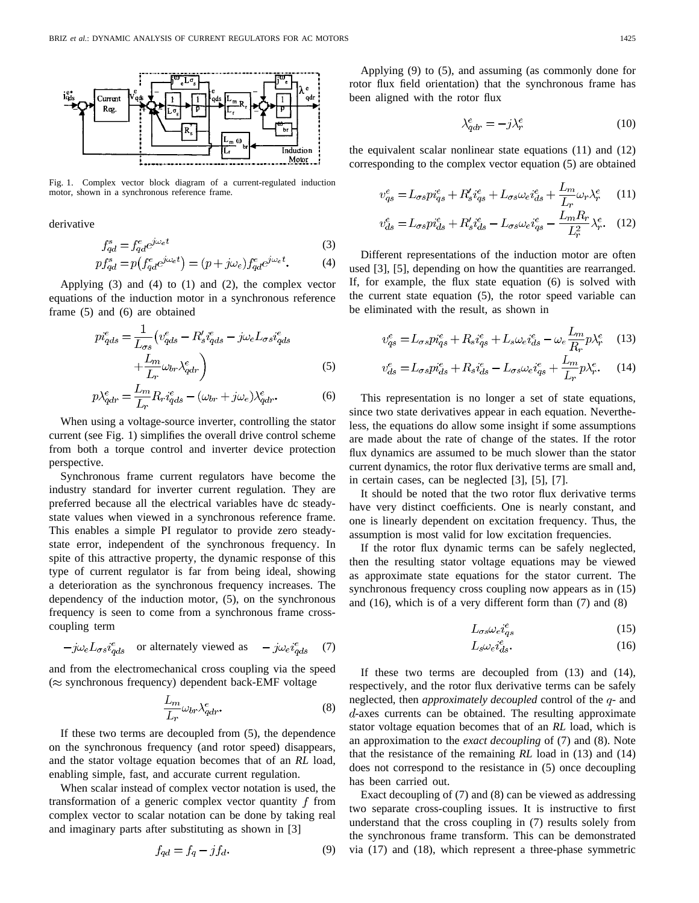

Fig. 1. Complex vector block diagram of a current-regulated induction motor, shown in a synchronous reference frame.

derivative

$$
f_{qd}^s = f_{qd}^e e^{j\omega_e t} \tag{3}
$$

$$
pf_{qd}^{s} = p(f_{qd}^{e}e^{j\omega_{e}t}) = (p + j\omega_{e})f_{qd}^{e}e^{j\omega_{e}t}.
$$
 (4)

Applying (3) and (4) to (1) and (2), the complex vector equations of the induction motor in a synchronous reference frame (5) and (6) are obtained

$$
pi_{qds}^{e} = \frac{1}{L_{\sigma s}} \left( v_{qds}^{e} - R_s' i_{qds}^{e} - j\omega_e L_{\sigma s} i_{qds}^{e} + \frac{L_m}{L_r} \omega_{br} \lambda_{qdr}^{e} \right)
$$
 (5)

$$
p\lambda_{qdr}^e = \frac{L_m}{L_r} R_r i_{qds}^e - (\omega_{br} + j\omega_e) \lambda_{qdr}^e.
$$
 (6)

When using a voltage-source inverter, controlling the stator current (see Fig. 1) simplifies the overall drive control scheme from both a torque control and inverter device protection perspective.

Synchronous frame current regulators have become the industry standard for inverter current regulation. They are preferred because all the electrical variables have dc steadystate values when viewed in a synchronous reference frame. This enables a simple PI regulator to provide zero steadystate error, independent of the synchronous frequency. In spite of this attractive property, the dynamic response of this type of current regulator is far from being ideal, showing a deterioration as the synchronous frequency increases. The dependency of the induction motor, (5), on the synchronous frequency is seen to come from a synchronous frame crosscoupling term

$$
-j\omega_e L_{\sigma s} i_{qds}^e \quad \text{or alternately viewed as} \quad -j\omega_e i_{qds}^e \quad (7)
$$

and from the electromechanical cross coupling via the speed  $(\approx$  synchronous frequency) dependent back-EMF voltage

$$
\frac{L_m}{L_r}\omega_{br}\lambda_{qdr}^e.
$$
 (8)

If these two terms are decoupled from (5), the dependence on the synchronous frequency (and rotor speed) disappears, and the stator voltage equation becomes that of an *RL* load, enabling simple, fast, and accurate current regulation.

When scalar instead of complex vector notation is used, the transformation of a generic complex vector quantity  $f$  from complex vector to scalar notation can be done by taking real and imaginary parts after substituting as shown in [3]

$$
f_{qd} = f_q - jf_d. \tag{9}
$$

Applying (9) to (5), and assuming (as commonly done for rotor flux field orientation) that the synchronous frame has been aligned with the rotor flux

$$
\lambda_{qdr}^e = -j\lambda_r^e \tag{10}
$$

the equivalent scalar nonlinear state equations (11) and (12) corresponding to the complex vector equation (5) are obtained

$$
v_{qs}^e = L_{\sigma s} p i_{qs}^e + R_s' i_{qs}^e + L_{\sigma s} \omega_e i_{ds}^e + \frac{L_m}{L_r} \omega_r \lambda_r^e \tag{11}
$$

$$
v_{ds}^e = L_{\sigma s} p i_{ds}^e + R_s' i_{ds}^e - L_{\sigma s} \omega_e i_{qs}^e - \frac{L_m R_r}{L_r^2} \lambda_r^e. \quad (12)
$$

Different representations of the induction motor are often used [3], [5], depending on how the quantities are rearranged. If, for example, the flux state equation (6) is solved with the current state equation (5), the rotor speed variable can be eliminated with the result, as shown in

$$
v_{qs}^e = L_{\sigma s} p i_{qs}^e + R_s i_{qs}^e + L_s \omega_e i_{ds}^e - \omega_e \frac{L_m}{R_r} p \lambda_r^e \tag{13}
$$

$$
v_{ds}^e = L_{\sigma s} p i_{ds}^e + R_s i_{ds}^e - L_{\sigma s} \omega_e i_{qs}^e + \frac{L_m}{L_r} p \lambda_r^e. \tag{14}
$$

This representation is no longer a set of state equations, since two state derivatives appear in each equation. Nevertheless, the equations do allow some insight if some assumptions are made about the rate of change of the states. If the rotor flux dynamics are assumed to be much slower than the stator current dynamics, the rotor flux derivative terms are small and, in certain cases, can be neglected [3], [5], [7].

It should be noted that the two rotor flux derivative terms have very distinct coefficients. One is nearly constant, and one is linearly dependent on excitation frequency. Thus, the assumption is most valid for low excitation frequencies.

If the rotor flux dynamic terms can be safely neglected, then the resulting stator voltage equations may be viewed as approximate state equations for the stator current. The synchronous frequency cross coupling now appears as in (15) and (16), which is of a very different form than (7) and (8)

$$
L_{\sigma s} \omega_e i_{qs}^e \tag{15}
$$

$$
L_s \omega_e i_{ds}^e. \tag{16}
$$

If these two terms are decoupled from (13) and (14), respectively, and the rotor flux derivative terms can be safely neglected, then *approximately decoupled* control of the  $q$ - and d-axes currents can be obtained. The resulting approximate stator voltage equation becomes that of an *RL* load, which is an approximation to the *exact decoupling* of (7) and (8). Note that the resistance of the remaining *RL* load in (13) and (14) does not correspond to the resistance in (5) once decoupling has been carried out.

Exact decoupling of (7) and (8) can be viewed as addressing two separate cross-coupling issues. It is instructive to first understand that the cross coupling in (7) results solely from the synchronous frame transform. This can be demonstrated via (17) and (18), which represent a three-phase symmetric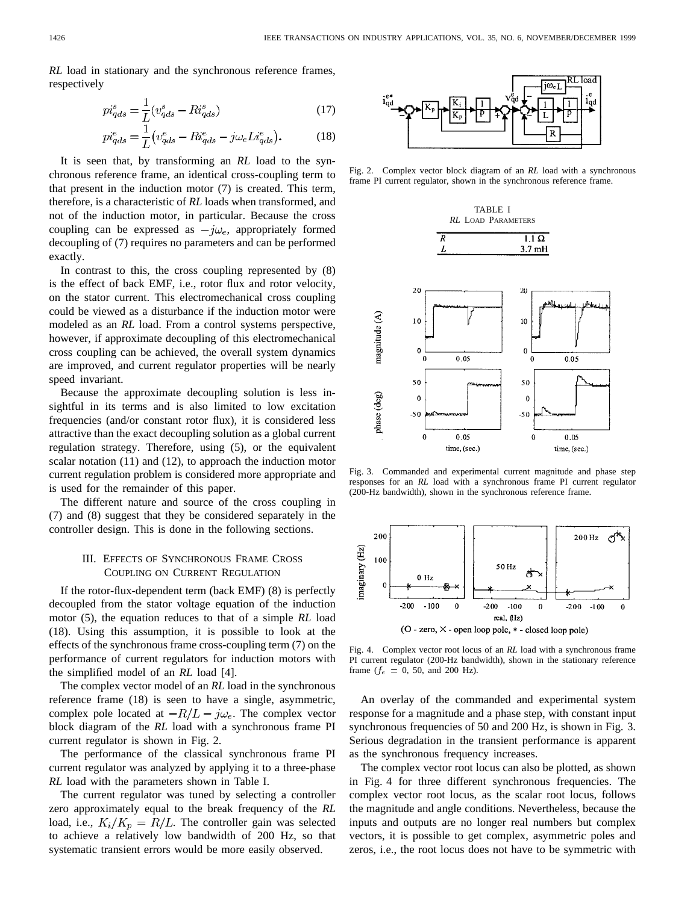*RL* load in stationary and the synchronous reference frames, respectively

$$
pi_{qds}^s = \frac{1}{L}(v_{qds}^s - Ri_{qds}^s)
$$
\n<sup>(17)</sup>

$$
pi_{qds}^e = \frac{1}{L} \left( v_{qds}^e - Ri_{qds}^e - j\omega_e Li_{qds}^e \right). \tag{18}
$$

It is seen that, by transforming an *RL* load to the synchronous reference frame, an identical cross-coupling term to that present in the induction motor (7) is created. This term, therefore, is a characteristic of *RL* loads when transformed, and not of the induction motor, in particular. Because the cross coupling can be expressed as  $-j\omega_e$ , appropriately formed decoupling of (7) requires no parameters and can be performed exactly.

In contrast to this, the cross coupling represented by (8) is the effect of back EMF, i.e., rotor flux and rotor velocity, on the stator current. This electromechanical cross coupling could be viewed as a disturbance if the induction motor were modeled as an *RL* load. From a control systems perspective, however, if approximate decoupling of this electromechanical cross coupling can be achieved, the overall system dynamics are improved, and current regulator properties will be nearly speed invariant.

Because the approximate decoupling solution is less insightful in its terms and is also limited to low excitation frequencies (and/or constant rotor flux), it is considered less attractive than the exact decoupling solution as a global current regulation strategy. Therefore, using (5), or the equivalent scalar notation (11) and (12), to approach the induction motor current regulation problem is considered more appropriate and is used for the remainder of this paper.

The different nature and source of the cross coupling in (7) and (8) suggest that they be considered separately in the controller design. This is done in the following sections.

## III. EFFECTS OF SYNCHRONOUS FRAME CROSS COUPLING ON CURRENT REGULATION

If the rotor-flux-dependent term (back EMF) (8) is perfectly decoupled from the stator voltage equation of the induction motor (5), the equation reduces to that of a simple *RL* load (18). Using this assumption, it is possible to look at the effects of the synchronous frame cross-coupling term (7) on the performance of current regulators for induction motors with the simplified model of an *RL* load [4].

The complex vector model of an *RL* load in the synchronous reference frame (18) is seen to have a single, asymmetric, complex pole located at  $-R/L - j\omega_e$ . The complex vector block diagram of the *RL* load with a synchronous frame PI current regulator is shown in Fig. 2.

The performance of the classical synchronous frame PI current regulator was analyzed by applying it to a three-phase *RL* load with the parameters shown in Table I.

The current regulator was tuned by selecting a controller zero approximately equal to the break frequency of the *RL* load, i.e.,  $K_i/K_p = R/L$ . The controller gain was selected to achieve a relatively low bandwidth of 200 Hz, so that systematic transient errors would be more easily observed.



Fig. 2. Complex vector block diagram of an *RL* load with a synchronous frame PI current regulator, shown in the synchronous reference frame.



Fig. 3. Commanded and experimental current magnitude and phase step responses for an *RL* load with a synchronous frame PI current regulator (200-Hz bandwidth), shown in the synchronous reference frame.



Fig. 4. Complex vector root locus of an *RL* load with a synchronous frame PI current regulator (200-Hz bandwidth), shown in the stationary reference frame ( $f_e = 0$ , 50, and 200 Hz).

An overlay of the commanded and experimental system response for a magnitude and a phase step, with constant input synchronous frequencies of 50 and 200 Hz, is shown in Fig. 3. Serious degradation in the transient performance is apparent as the synchronous frequency increases.

The complex vector root locus can also be plotted, as shown in Fig. 4 for three different synchronous frequencies. The complex vector root locus, as the scalar root locus, follows the magnitude and angle conditions. Nevertheless, because the inputs and outputs are no longer real numbers but complex vectors, it is possible to get complex, asymmetric poles and zeros, i.e., the root locus does not have to be symmetric with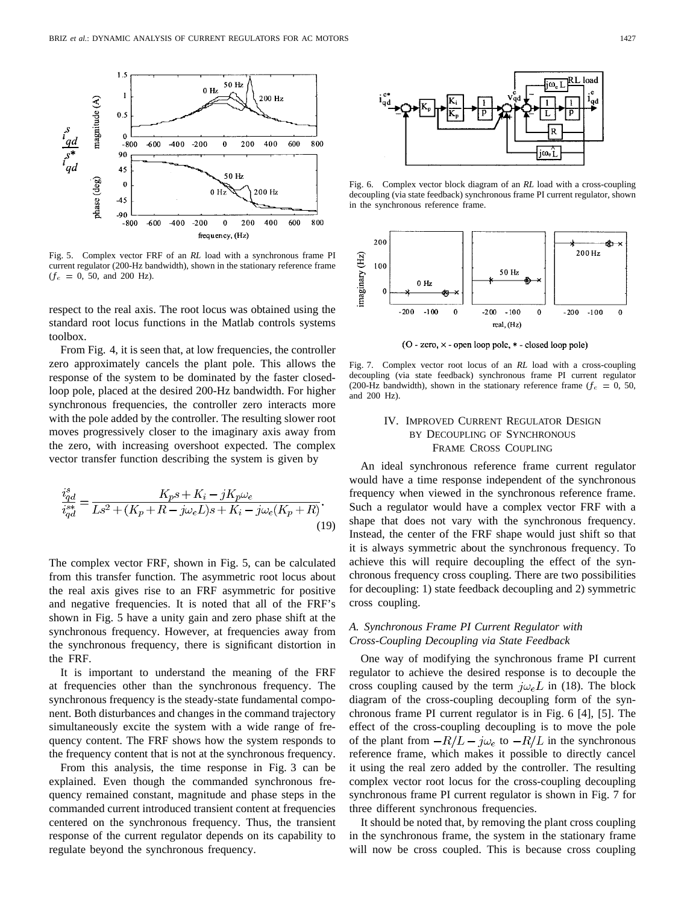

Fig. 5. Complex vector FRF of an *RL* load with a synchronous frame PI current regulator (200-Hz bandwidth), shown in the stationary reference frame  $(f_e = 0, 50, \text{ and } 200 \text{ Hz}).$ 

respect to the real axis. The root locus was obtained using the standard root locus functions in the Matlab controls systems toolbox.

From Fig. 4, it is seen that, at low frequencies, the controller zero approximately cancels the plant pole. This allows the response of the system to be dominated by the faster closedloop pole, placed at the desired 200-Hz bandwidth. For higher synchronous frequencies, the controller zero interacts more with the pole added by the controller. The resulting slower root moves progressively closer to the imaginary axis away from the zero, with increasing overshoot expected. The complex vector transfer function describing the system is given by

$$
\frac{i_{qd}^{s}}{i_{qd}^{s*}} = \frac{K_{p}s + K_{i} - jK_{p}\omega_{e}}{Ls^{2} + (K_{p} + R - j\omega_{e}L)s + K_{i} - j\omega_{e}(K_{p} + R)}.
$$
\n(19)

The complex vector FRF, shown in Fig. 5, can be calculated from this transfer function. The asymmetric root locus about the real axis gives rise to an FRF asymmetric for positive and negative frequencies. It is noted that all of the FRF's shown in Fig. 5 have a unity gain and zero phase shift at the synchronous frequency. However, at frequencies away from the synchronous frequency, there is significant distortion in the FRF.

It is important to understand the meaning of the FRF at frequencies other than the synchronous frequency. The synchronous frequency is the steady-state fundamental component. Both disturbances and changes in the command trajectory simultaneously excite the system with a wide range of frequency content. The FRF shows how the system responds to the frequency content that is not at the synchronous frequency.

From this analysis, the time response in Fig. 3 can be explained. Even though the commanded synchronous frequency remained constant, magnitude and phase steps in the commanded current introduced transient content at frequencies centered on the synchronous frequency. Thus, the transient response of the current regulator depends on its capability to regulate beyond the synchronous frequency.



Fig. 6. Complex vector block diagram of an *RL* load with a cross-coupling decoupling (via state feedback) synchronous frame PI current regulator, shown in the synchronous reference frame.



(O - zero, x - open loop pole, \* - closed loop pole)

Fig. 7. Complex vector root locus of an *RL* load with a cross-coupling decoupling (via state feedback) synchronous frame PI current regulator (200-Hz bandwidth), shown in the stationary reference frame ( $f_e = 0$ , 50, and 200 Hz).

# IV. IMPROVED CURRENT REGULATOR DESIGN BY DECOUPLING OF SYNCHRONOUS FRAME CROSS COUPLING

An ideal synchronous reference frame current regulator would have a time response independent of the synchronous frequency when viewed in the synchronous reference frame. Such a regulator would have a complex vector FRF with a shape that does not vary with the synchronous frequency. Instead, the center of the FRF shape would just shift so that it is always symmetric about the synchronous frequency. To achieve this will require decoupling the effect of the synchronous frequency cross coupling. There are two possibilities for decoupling: 1) state feedback decoupling and 2) symmetric cross coupling.

# *A. Synchronous Frame PI Current Regulator with Cross-Coupling Decoupling via State Feedback*

One way of modifying the synchronous frame PI current regulator to achieve the desired response is to decouple the cross coupling caused by the term  $j\omega_e L$  in (18). The block diagram of the cross-coupling decoupling form of the synchronous frame PI current regulator is in Fig. 6 [4], [5]. The effect of the cross-coupling decoupling is to move the pole of the plant from  $-R/L - j\omega_e$  to  $-R/L$  in the synchronous reference frame, which makes it possible to directly cancel it using the real zero added by the controller. The resulting complex vector root locus for the cross-coupling decoupling synchronous frame PI current regulator is shown in Fig. 7 for three different synchronous frequencies.

It should be noted that, by removing the plant cross coupling in the synchronous frame, the system in the stationary frame will now be cross coupled. This is because cross coupling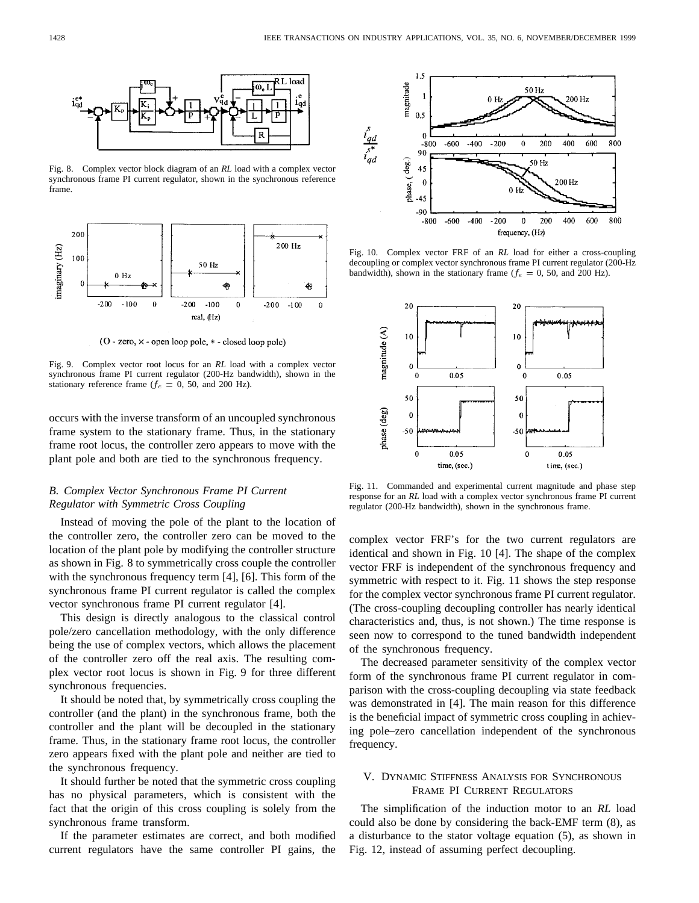

Fig. 8. Complex vector block diagram of an *RL* load with a complex vector synchronous frame PI current regulator, shown in the synchronous reference frame.



 $(O - zero, \times - open loop pole, \times - closed loop pole)$ 

Fig. 9. Complex vector root locus for an *RL* load with a complex vector synchronous frame PI current regulator (200-Hz bandwidth), shown in the stationary reference frame ( $f_e = 0$ , 50, and 200 Hz).

occurs with the inverse transform of an uncoupled synchronous frame system to the stationary frame. Thus, in the stationary frame root locus, the controller zero appears to move with the plant pole and both are tied to the synchronous frequency.

# *B. Complex Vector Synchronous Frame PI Current Regulator with Symmetric Cross Coupling*

Instead of moving the pole of the plant to the location of the controller zero, the controller zero can be moved to the location of the plant pole by modifying the controller structure as shown in Fig. 8 to symmetrically cross couple the controller with the synchronous frequency term [4], [6]. This form of the synchronous frame PI current regulator is called the complex vector synchronous frame PI current regulator [4].

This design is directly analogous to the classical control pole/zero cancellation methodology, with the only difference being the use of complex vectors, which allows the placement of the controller zero off the real axis. The resulting complex vector root locus is shown in Fig. 9 for three different synchronous frequencies.

It should be noted that, by symmetrically cross coupling the controller (and the plant) in the synchronous frame, both the controller and the plant will be decoupled in the stationary frame. Thus, in the stationary frame root locus, the controller zero appears fixed with the plant pole and neither are tied to the synchronous frequency.

It should further be noted that the symmetric cross coupling has no physical parameters, which is consistent with the fact that the origin of this cross coupling is solely from the synchronous frame transform.

If the parameter estimates are correct, and both modified current regulators have the same controller PI gains, the



Fig. 10. Complex vector FRF of an *RL* load for either a cross-coupling decoupling or complex vector synchronous frame PI current regulator (200-Hz bandwidth), shown in the stationary frame ( $f_e = 0$ , 50, and 200 Hz).



Fig. 11. Commanded and experimental current magnitude and phase step response for an *RL* load with a complex vector synchronous frame PI current regulator (200-Hz bandwidth), shown in the synchronous frame.

complex vector FRF's for the two current regulators are identical and shown in Fig. 10 [4]. The shape of the complex vector FRF is independent of the synchronous frequency and symmetric with respect to it. Fig. 11 shows the step response for the complex vector synchronous frame PI current regulator. (The cross-coupling decoupling controller has nearly identical characteristics and, thus, is not shown.) The time response is seen now to correspond to the tuned bandwidth independent of the synchronous frequency.

The decreased parameter sensitivity of the complex vector form of the synchronous frame PI current regulator in comparison with the cross-coupling decoupling via state feedback was demonstrated in [4]. The main reason for this difference is the beneficial impact of symmetric cross coupling in achieving pole–zero cancellation independent of the synchronous frequency.

# V. DYNAMIC STIFFNESS ANALYSIS FOR SYNCHRONOUS FRAME PI CURRENT REGULATORS

The simplification of the induction motor to an *RL* load could also be done by considering the back-EMF term (8), as a disturbance to the stator voltage equation (5), as shown in Fig. 12, instead of assuming perfect decoupling.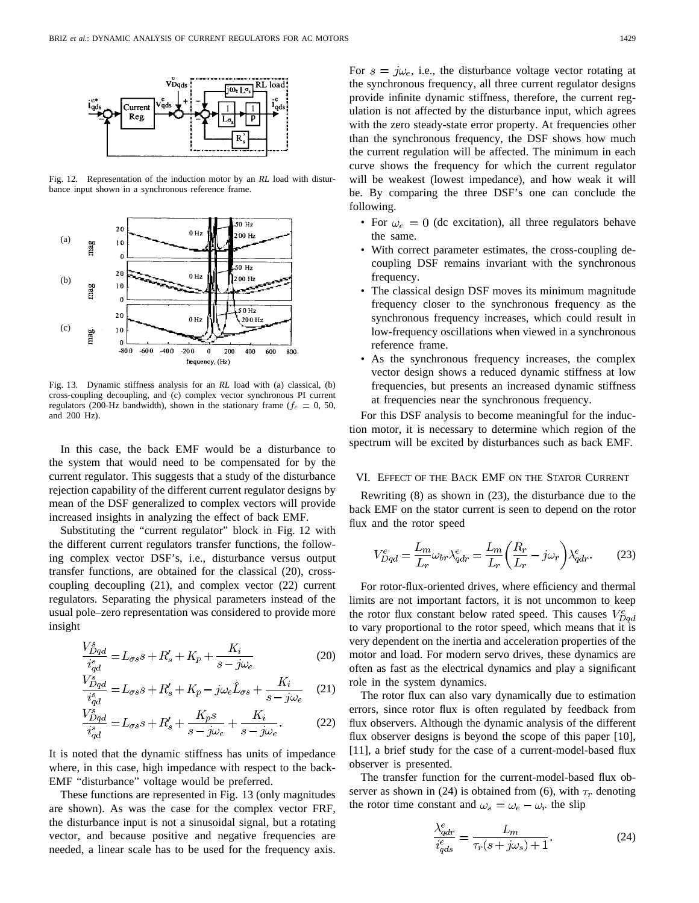

Fig. 12. Representation of the induction motor by an *RL* load with disturbance input shown in a synchronous reference frame.



Fig. 13. Dynamic stiffness analysis for an *RL* load with (a) classical, (b) cross-coupling decoupling, and (c) complex vector synchronous PI current regulators (200-Hz bandwidth), shown in the stationary frame ( $f_e = 0$ , 50, and 200 Hz).

In this case, the back EMF would be a disturbance to the system that would need to be compensated for by the current regulator. This suggests that a study of the disturbance rejection capability of the different current regulator designs by mean of the DSF generalized to complex vectors will provide increased insights in analyzing the effect of back EMF.

Substituting the "current regulator" block in Fig. 12 with the different current regulators transfer functions, the following complex vector DSF's, i.e., disturbance versus output transfer functions, are obtained for the classical (20), crosscoupling decoupling (21), and complex vector (22) current regulators. Separating the physical parameters instead of the usual pole–zero representation was considered to provide more insight

$$
\frac{V_{Dqd}^s}{i_{qd}^s} = L_{\sigma s} s + R_s' + K_p + \frac{K_i}{s - j\omega_e} \tag{20}
$$

$$
\frac{V_{Dqd}^s}{i_{qd}^s} = L_{\sigma s} s + R_s' + K_p - j\omega_e \hat{L}_{\sigma s} + \frac{K_i}{s - j\omega_e} \quad (21)
$$

$$
\frac{V_{Dqd}^s}{i_{qd}^s} = L_{\sigma s} s + R_s' + \frac{K_p s}{s - j\omega_e} + \frac{K_i}{s - j\omega_e}.
$$
 (22)

It is noted that the dynamic stiffness has units of impedance where, in this case, high impedance with respect to the back-EMF "disturbance" voltage would be preferred.

These functions are represented in Fig. 13 (only magnitudes are shown). As was the case for the complex vector FRF, the disturbance input is not a sinusoidal signal, but a rotating vector, and because positive and negative frequencies are needed, a linear scale has to be used for the frequency axis. For  $s = j\omega_e$ , i.e., the disturbance voltage vector rotating at the synchronous frequency, all three current regulator designs provide infinite dynamic stiffness, therefore, the current regulation is not affected by the disturbance input, which agrees with the zero steady-state error property. At frequencies other than the synchronous frequency, the DSF shows how much the current regulation will be affected. The minimum in each curve shows the frequency for which the current regulator will be weakest (lowest impedance), and how weak it will be. By comparing the three DSF's one can conclude the following.

- For  $\omega_e = 0$  (dc excitation), all three regulators behave the same.
- With correct parameter estimates, the cross-coupling decoupling DSF remains invariant with the synchronous frequency.
- The classical design DSF moves its minimum magnitude frequency closer to the synchronous frequency as the synchronous frequency increases, which could result in low-frequency oscillations when viewed in a synchronous reference frame.
- As the synchronous frequency increases, the complex vector design shows a reduced dynamic stiffness at low frequencies, but presents an increased dynamic stiffness at frequencies near the synchronous frequency.

For this DSF analysis to become meaningful for the induction motor, it is necessary to determine which region of the spectrum will be excited by disturbances such as back EMF.

## VI. EFFECT OF THE BACK EMF ON THE STATOR CURRENT

Rewriting (8) as shown in (23), the disturbance due to the back EMF on the stator current is seen to depend on the rotor flux and the rotor speed

$$
V_{Dqd}^e = \frac{L_m}{L_r} \omega_{br} \lambda_{qdr}^e = \frac{L_m}{L_r} \left(\frac{R_r}{L_r} - j\omega_r\right) \lambda_{qdr}^e. \tag{23}
$$

For rotor-flux-oriented drives, where efficiency and thermal limits are not important factors, it is not uncommon to keep the rotor flux constant below rated speed. This causes  $V_{Dad}^e$ to vary proportional to the rotor speed, which means that it is very dependent on the inertia and acceleration properties of the motor and load. For modern servo drives, these dynamics are often as fast as the electrical dynamics and play a significant role in the system dynamics.

The rotor flux can also vary dynamically due to estimation errors, since rotor flux is often regulated by feedback from flux observers. Although the dynamic analysis of the different flux observer designs is beyond the scope of this paper [10], [11], a brief study for the case of a current-model-based flux observer is presented.

The transfer function for the current-model-based flux observer as shown in (24) is obtained from (6), with  $\tau_r$  denoting the rotor time constant and  $\omega_s = \omega_e - \omega_r$  the slip

$$
\frac{\lambda_{qdr}^e}{i_{qds}^e} = \frac{L_m}{\tau_r(s + j\omega_s) + 1}.\tag{24}
$$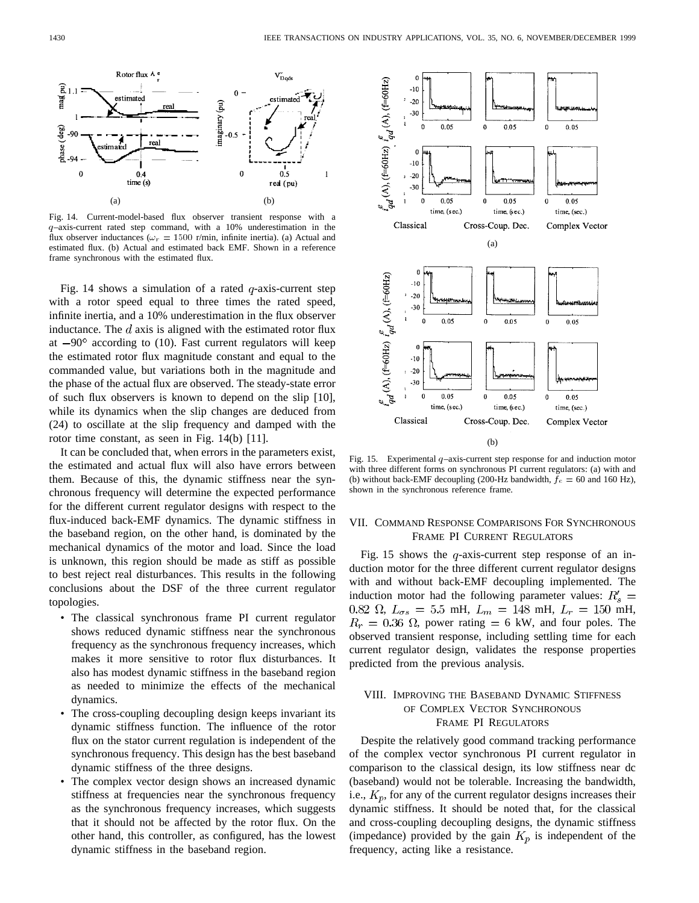

Fig. 14. Current-model-based flux observer transient response with a q–axis-current rated step command, with a 10% underestimation in the flux observer inductances ( $\omega_r = 1500$  r/min, infinite inertia). (a) Actual and estimated flux. (b) Actual and estimated back EMF. Shown in a reference frame synchronous with the estimated flux.

Fig. 14 shows a simulation of a rated  $q$ -axis-current step with a rotor speed equal to three times the rated speed, infinite inertia, and a 10% underestimation in the flux observer inductance. The  $d$  axis is aligned with the estimated rotor flux at  $-90^\circ$  according to (10). Fast current regulators will keep the estimated rotor flux magnitude constant and equal to the commanded value, but variations both in the magnitude and the phase of the actual flux are observed. The steady-state error of such flux observers is known to depend on the slip [10], while its dynamics when the slip changes are deduced from (24) to oscillate at the slip frequency and damped with the rotor time constant, as seen in Fig. 14(b) [11].

It can be concluded that, when errors in the parameters exist, the estimated and actual flux will also have errors between them. Because of this, the dynamic stiffness near the synchronous frequency will determine the expected performance for the different current regulator designs with respect to the flux-induced back-EMF dynamics. The dynamic stiffness in the baseband region, on the other hand, is dominated by the mechanical dynamics of the motor and load. Since the load is unknown, this region should be made as stiff as possible to best reject real disturbances. This results in the following conclusions about the DSF of the three current regulator topologies.

- The classical synchronous frame PI current regulator shows reduced dynamic stiffness near the synchronous frequency as the synchronous frequency increases, which makes it more sensitive to rotor flux disturbances. It also has modest dynamic stiffness in the baseband region as needed to minimize the effects of the mechanical dynamics.
- The cross-coupling decoupling design keeps invariant its dynamic stiffness function. The influence of the rotor flux on the stator current regulation is independent of the synchronous frequency. This design has the best baseband dynamic stiffness of the three designs.
- The complex vector design shows an increased dynamic stiffness at frequencies near the synchronous frequency as the synchronous frequency increases, which suggests that it should not be affected by the rotor flux. On the other hand, this controller, as configured, has the lowest dynamic stiffness in the baseband region.



Fig. 15. Experimental  $q$ -axis-current step response for and induction motor with three different forms on synchronous PI current regulators: (a) with and (b) without back-EMF decoupling (200-Hz bandwidth,  $f_e = 60$  and 160 Hz), shown in the synchronous reference frame.

# VII. COMMAND RESPONSE COMPARISONS FOR SYNCHRONOUS FRAME PI CURRENT REGULATORS

Fig. 15 shows the  $q$ -axis-current step response of an induction motor for the three different current regulator designs with and without back-EMF decoupling implemented. The induction motor had the following parameter values:  $R'_s$  = 0.82  $\Omega$ ,  $L_{\sigma s} = 5.5$  mH,  $L_m = 148$  mH,  $L_r = 150$  mH,  $R_r = 0.36 \Omega$ , power rating = 6 kW, and four poles. The observed transient response, including settling time for each current regulator design, validates the response properties predicted from the previous analysis.

# VIII. IMPROVING THE BASEBAND DYNAMIC STIFFNESS OF COMPLEX VECTOR SYNCHRONOUS FRAME PI REGULATORS

Despite the relatively good command tracking performance of the complex vector synchronous PI current regulator in comparison to the classical design, its low stiffness near dc (baseband) would not be tolerable. Increasing the bandwidth, i.e.,  $K_p$ , for any of the current regulator designs increases their dynamic stiffness. It should be noted that, for the classical and cross-coupling decoupling designs, the dynamic stiffness (impedance) provided by the gain  $K_p$  is independent of the frequency, acting like a resistance.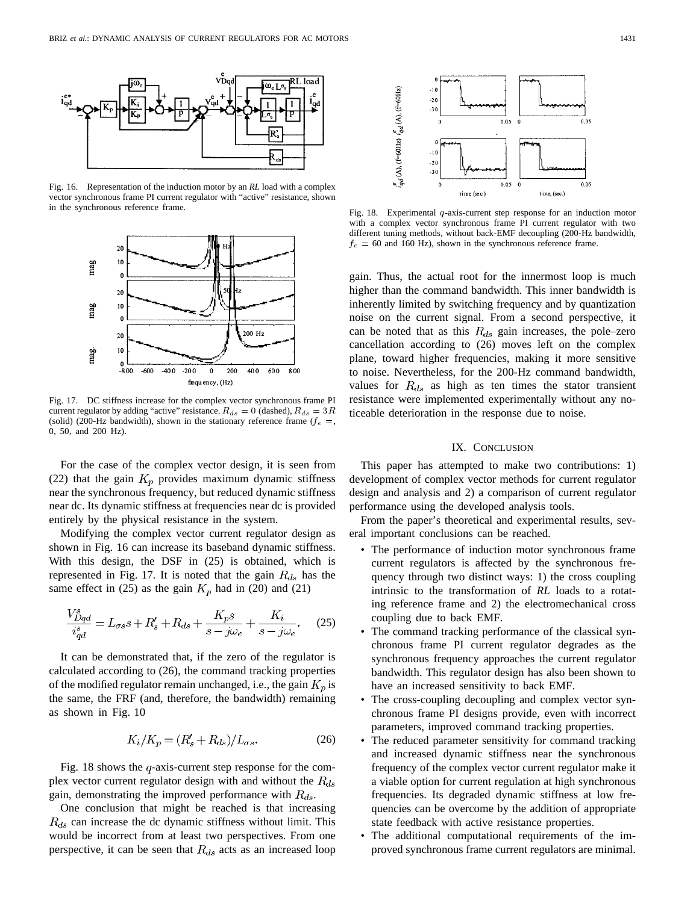

Fig. 16. Representation of the induction motor by an *RL* load with a complex vector synchronous frame PI current regulator with "active" resistance, shown in the synchronous reference frame.



Fig. 17. DC stiffness increase for the complex vector synchronous frame PI current regulator by adding "active" resistance.  $R_{ds} = 0$  (dashed),  $R_{ds} = 3R$ (solid) (200-Hz bandwidth), shown in the stationary reference frame ( $f_e =$ , 0, 50, and 200 Hz).

For the case of the complex vector design, it is seen from (22) that the gain  $K_p$  provides maximum dynamic stiffness near the synchronous frequency, but reduced dynamic stiffness near dc. Its dynamic stiffness at frequencies near dc is provided entirely by the physical resistance in the system.

Modifying the complex vector current regulator design as shown in Fig. 16 can increase its baseband dynamic stiffness. With this design, the DSF in (25) is obtained, which is represented in Fig. 17. It is noted that the gain  $R_{ds}$  has the same effect in (25) as the gain  $K_p$  had in (20) and (21)

$$
\frac{V_{Dqd}^s}{i_{qd}^s} = L_{\sigma s} s + R_s' + R_{ds} + \frac{K_p s}{s - j\omega_e} + \frac{K_i}{s - j\omega_e}.
$$
 (25)

It can be demonstrated that, if the zero of the regulator is calculated according to (26), the command tracking properties of the modified regulator remain unchanged, i.e., the gain  $K_p$  is the same, the FRF (and, therefore, the bandwidth) remaining as shown in Fig. 10

$$
K_i/K_p = (R'_s + R_{ds})/L_{\sigma s}.
$$
\n(26)

Fig. 18 shows the  $q$ -axis-current step response for the complex vector current regulator design with and without the  $R_{ds}$ gain, demonstrating the improved performance with  $R_{ds}$ .

One conclusion that might be reached is that increasing  $R_{ds}$  can increase the dc dynamic stiffness without limit. This would be incorrect from at least two perspectives. From one perspective, it can be seen that  $R_{ds}$  acts as an increased loop



Fig. 18. Experimental q-axis-current step response for an induction motor with a complex vector synchronous frame PI current regulator with two different tuning methods, without back-EMF decoupling (200-Hz bandwidth,  $f_e = 60$  and 160 Hz), shown in the synchronous reference frame.

gain. Thus, the actual root for the innermost loop is much higher than the command bandwidth. This inner bandwidth is inherently limited by switching frequency and by quantization noise on the current signal. From a second perspective, it can be noted that as this  $R_{ds}$  gain increases, the pole–zero cancellation according to (26) moves left on the complex plane, toward higher frequencies, making it more sensitive to noise. Nevertheless, for the 200-Hz command bandwidth, values for  $R_{ds}$  as high as ten times the stator transient resistance were implemented experimentally without any noticeable deterioration in the response due to noise.

#### IX. CONCLUSION

This paper has attempted to make two contributions: 1) development of complex vector methods for current regulator design and analysis and 2) a comparison of current regulator performance using the developed analysis tools.

From the paper's theoretical and experimental results, several important conclusions can be reached.

- The performance of induction motor synchronous frame current regulators is affected by the synchronous frequency through two distinct ways: 1) the cross coupling intrinsic to the transformation of *RL* loads to a rotating reference frame and 2) the electromechanical cross coupling due to back EMF.
- The command tracking performance of the classical synchronous frame PI current regulator degrades as the synchronous frequency approaches the current regulator bandwidth. This regulator design has also been shown to have an increased sensitivity to back EMF.
- The cross-coupling decoupling and complex vector synchronous frame PI designs provide, even with incorrect parameters, improved command tracking properties.
- The reduced parameter sensitivity for command tracking and increased dynamic stiffness near the synchronous frequency of the complex vector current regulator make it a viable option for current regulation at high synchronous frequencies. Its degraded dynamic stiffness at low frequencies can be overcome by the addition of appropriate state feedback with active resistance properties.
- The additional computational requirements of the improved synchronous frame current regulators are minimal.